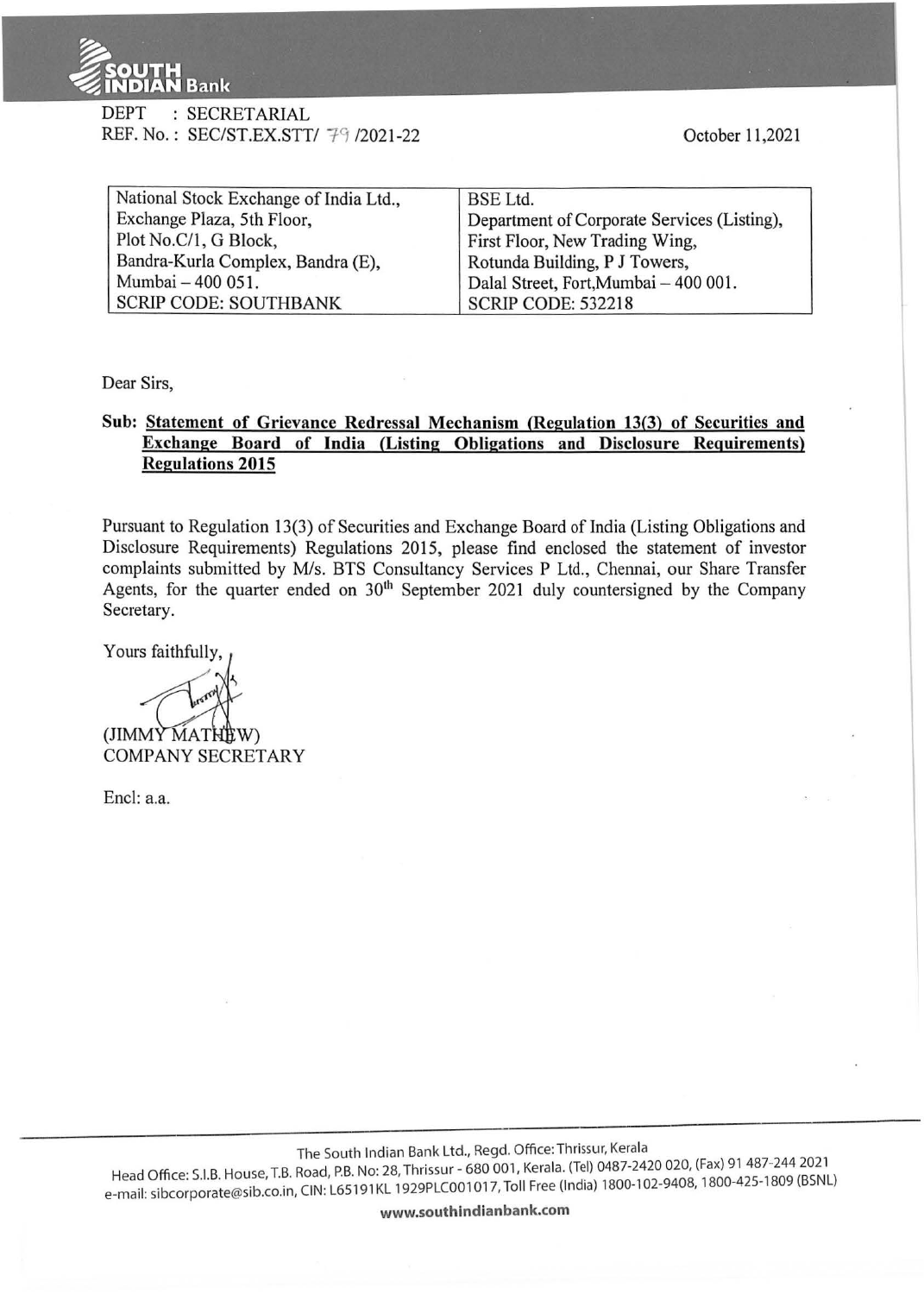

DEPT : SECRETARIAL REF. No.: SEC/ST.EX.STT/ 79 /2021-22

| National Stock Exchange of India Ltd., | BSE Ltd.                                    |
|----------------------------------------|---------------------------------------------|
| Exchange Plaza, 5th Floor,             | Department of Corporate Services (Listing), |
| Plot No.C/1, G Block,                  | First Floor, New Trading Wing,              |
| Bandra-Kurla Complex, Bandra (E),      | Rotunda Building, P J Towers,               |
| Mumbai - 400 051.                      | Dalal Street, Fort, Mumbai - 400 001.       |
| <b>SCRIP CODE: SOUTHBANK</b>           | <b>SCRIP CODE: 532218</b>                   |

Dear Sirs,

## **Sub: Statement of Grievance Redressal Mechanism (Regulation 13(3) of Securities and Exchange Board of India (Listing Obligations and Disclosure Requirements) Regulations 2015**

Pursuant to Regulation 13(3) of Securities and Exchange Board of India (Listing Obligations and Disclosure Requirements) Regulations 2015, please find enclosed the statement of investor complaints submitted by M/s. BTS Consultancy Services P Ltd., Chennai, our Share Transfer Agents, for the quarter ended on  $30<sup>th</sup>$  September 2021 duly countersigned by the Company Secretary.

Yours faithfully,

~ (JIMMY MATH

**COMPANY SECRETARY** 

Encl: a.a.

The South Indian Bank Ltd., Regd. Office: Thrissur, Kerala

Head Office: S.I.B. House, T.B. Road, P.B. No: 28, Thrissur - 680 001, Kerala. (Tel) 0487-2420 020, (Fax) 91 487-244 2021 ricad Office: Silbt Hotel, 2007). CIN: L65191KL 1929PLC001017, Toll Free (India) 1800-102-9408, 1800-425-1809 (BSNL)<br>e-mail: sibcorporate@sib.co.in, CIN: L65191KL 1929PLC001017, Toll Free (India) 1800-102-9408, 1800-425-18

**www.southindianbank.com**